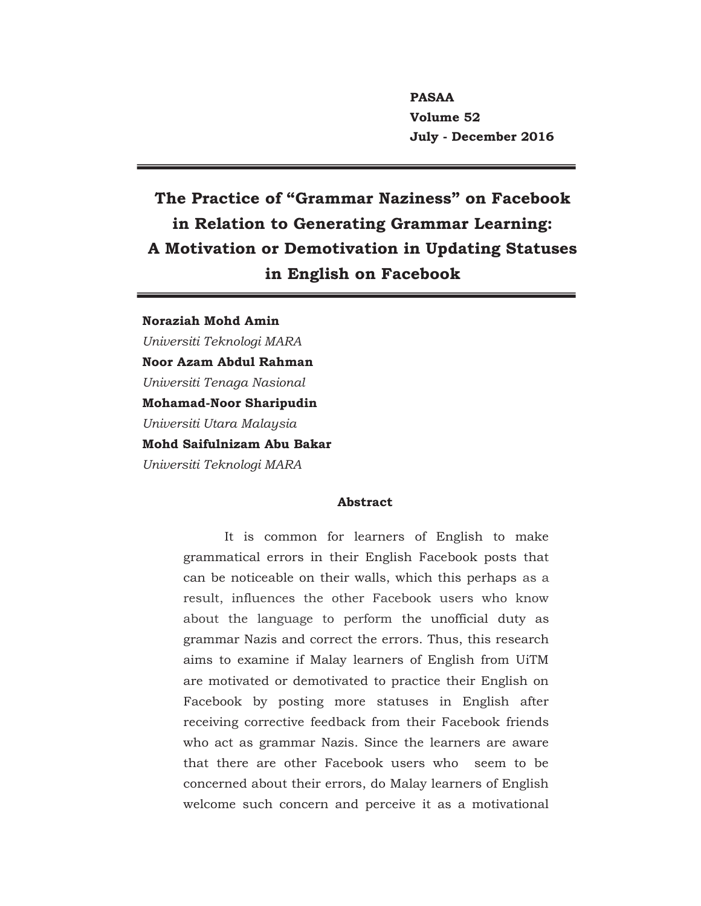**PASAA Volume 52 July - December 2016**

# **The Practice of "Grammar Naziness" on Facebook in Relation to Generating Grammar Learning: A Motivation or Demotivation in Updating Statuses in English on Facebook**

**Noraziah Mohd Amin**  *Universiti Teknologi MARA*  **Noor Azam Abdul Rahman**  *Universiti Tenaga Nasional* **Mohamad-Noor Sharipudin**  *Universiti Utara Malaysia*  **Mohd Saifulnizam Abu Bakar**  *Universiti Teknologi MARA*

#### **Abstract**

It is common for learners of English to make grammatical errors in their English Facebook posts that can be noticeable on their walls, which this perhaps as a result, influences the other Facebook users who know about the language to perform the unofficial duty as grammar Nazis and correct the errors. Thus, this research aims to examine if Malay learners of English from UiTM are motivated or demotivated to practice their English on Facebook by posting more statuses in English after receiving corrective feedback from their Facebook friends who act as grammar Nazis. Since the learners are aware that there are other Facebook users who seem to be concerned about their errors, do Malay learners of English welcome such concern and perceive it as a motivational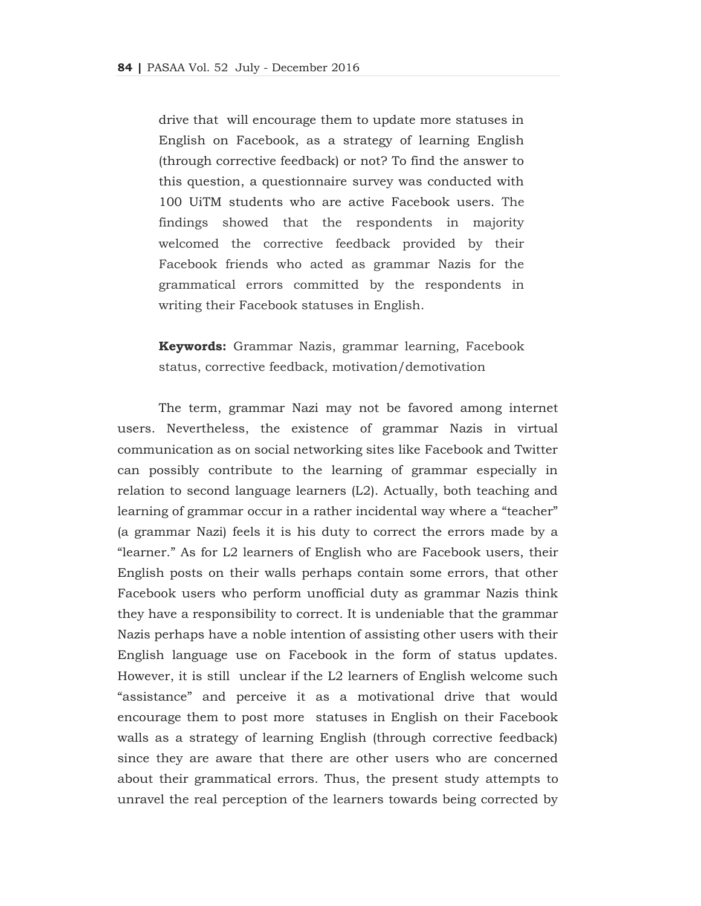drive that will encourage them to update more statuses in English on Facebook, as a strategy of learning English (through corrective feedback) or not? To find the answer to this question, a questionnaire survey was conducted with 100 UiTM students who are active Facebook users. The findings showed that the respondents in majority welcomed the corrective feedback provided by their Facebook friends who acted as grammar Nazis for the grammatical errors committed by the respondents in writing their Facebook statuses in English.

**Keywords:** Grammar Nazis, grammar learning, Facebook status, corrective feedback, motivation/demotivation

The term, grammar Nazi may not be favored among internet users. Nevertheless, the existence of grammar Nazis in virtual communication as on social networking sites like Facebook and Twitter can possibly contribute to the learning of grammar especially in relation to second language learners (L2). Actually, both teaching and learning of grammar occur in a rather incidental way where a "teacher" (a grammar Nazi) feels it is his duty to correct the errors made by a "learner." As for L2 learners of English who are Facebook users, their English posts on their walls perhaps contain some errors, that other Facebook users who perform unofficial duty as grammar Nazis think they have a responsibility to correct. It is undeniable that the grammar Nazis perhaps have a noble intention of assisting other users with their English language use on Facebook in the form of status updates. However, it is still unclear if the L2 learners of English welcome such "assistance" and perceive it as a motivational drive that would encourage them to post more statuses in English on their Facebook walls as a strategy of learning English (through corrective feedback) since they are aware that there are other users who are concerned about their grammatical errors. Thus, the present study attempts to unravel the real perception of the learners towards being corrected by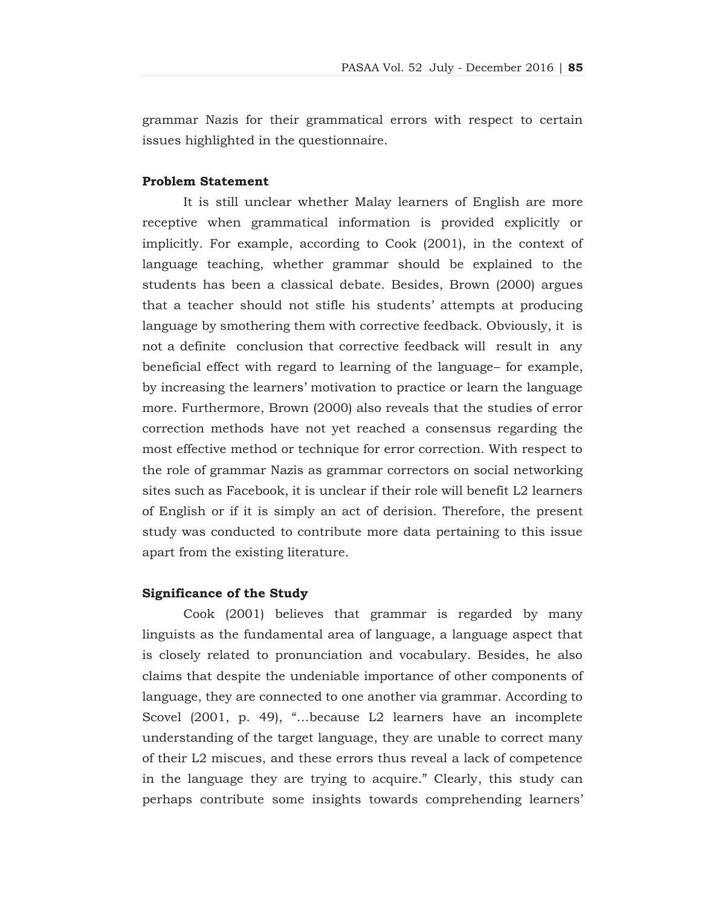grammar Nazis for their grammatical errors with respect to certain issues highlighted in the questionnaire.

# **Problem Statement**

It is still unclear whether Malay learners of English are more receptive when grammatical information is provided explicitly or implicitly. For example, according to Cook (2001), in the context of language teaching, whether grammar should be explained to the students has been a classical debate. Besides, Brown (2000) argues that a teacher should not stifle his students' attempts at producing language by smothering them with corrective feedback. Obviously, it is not a definite conclusion that corrective feedback will result in any beneficial effect with regard to learning of the language– for example, by increasing the learners' motivation to practice or learn the language more. Furthermore, Brown (2000) also reveals that the studies of error correction methods have not yet reached a consensus regarding the most effective method or technique for error correction. With respect to the role of grammar Nazis as grammar correctors on social networking sites such as Facebook, it is unclear if their role will benefit L2 learners of English or if it is simply an act of derision. Therefore, the present study was conducted to contribute more data pertaining to this issue apart from the existing literature.

#### **Significance of the Study**

Cook (2001) believes that grammar is regarded by many linguists as the fundamental area of language, a language aspect that is closely related to pronunciation and vocabulary. Besides, he also claims that despite the undeniable importance of other components of language, they are connected to one another via grammar. According to Scovel (2001, p. 49), "…because L2 learners have an incomplete understanding of the target language, they are unable to correct many of their L2 miscues, and these errors thus reveal a lack of competence in the language they are trying to acquire." Clearly, this study can perhaps contribute some insights towards comprehending learners'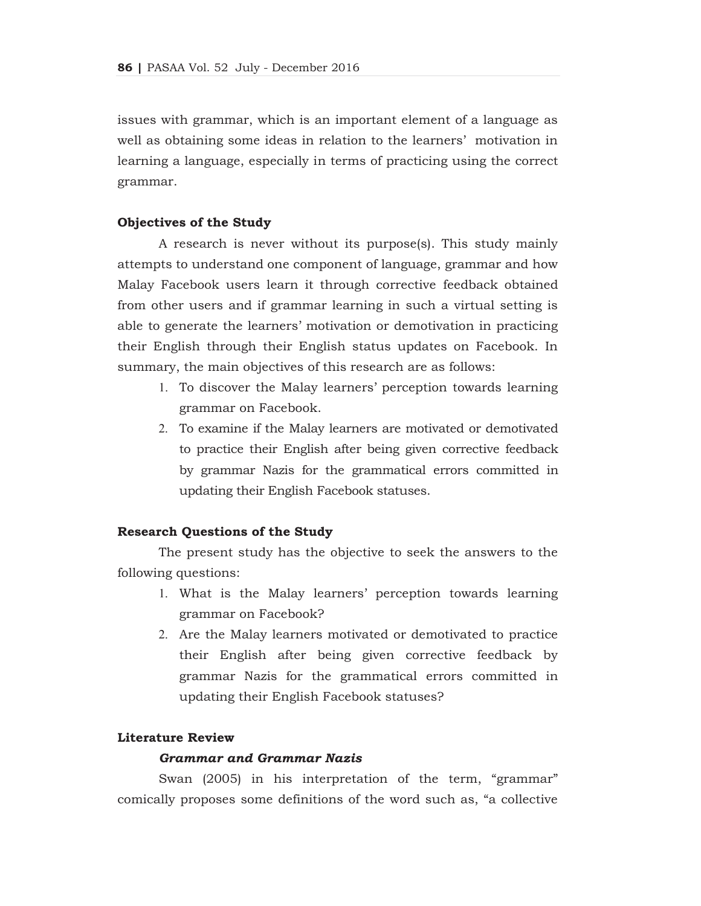issues with grammar, which is an important element of a language as well as obtaining some ideas in relation to the learners' motivation in learning a language, especially in terms of practicing using the correct grammar.

### **Objectives of the Study**

A research is never without its purpose(s). This study mainly attempts to understand one component of language, grammar and how Malay Facebook users learn it through corrective feedback obtained from other users and if grammar learning in such a virtual setting is able to generate the learners' motivation or demotivation in practicing their English through their English status updates on Facebook. In summary, the main objectives of this research are as follows:

- 1. To discover the Malay learners' perception towards learning grammar on Facebook.
- 2. To examine if the Malay learners are motivated or demotivated to practice their English after being given corrective feedback by grammar Nazis for the grammatical errors committed in updating their English Facebook statuses.

#### **Research Questions of the Study**

The present study has the objective to seek the answers to the following questions:

- 1. What is the Malay learners' perception towards learning grammar on Facebook?
- 2. Are the Malay learners motivated or demotivated to practice their English after being given corrective feedback by grammar Nazis for the grammatical errors committed in updating their English Facebook statuses?

### **Literature Review**

# *Grammar and Grammar Nazis*

Swan (2005) in his interpretation of the term, "grammar" comically proposes some definitions of the word such as, "a collective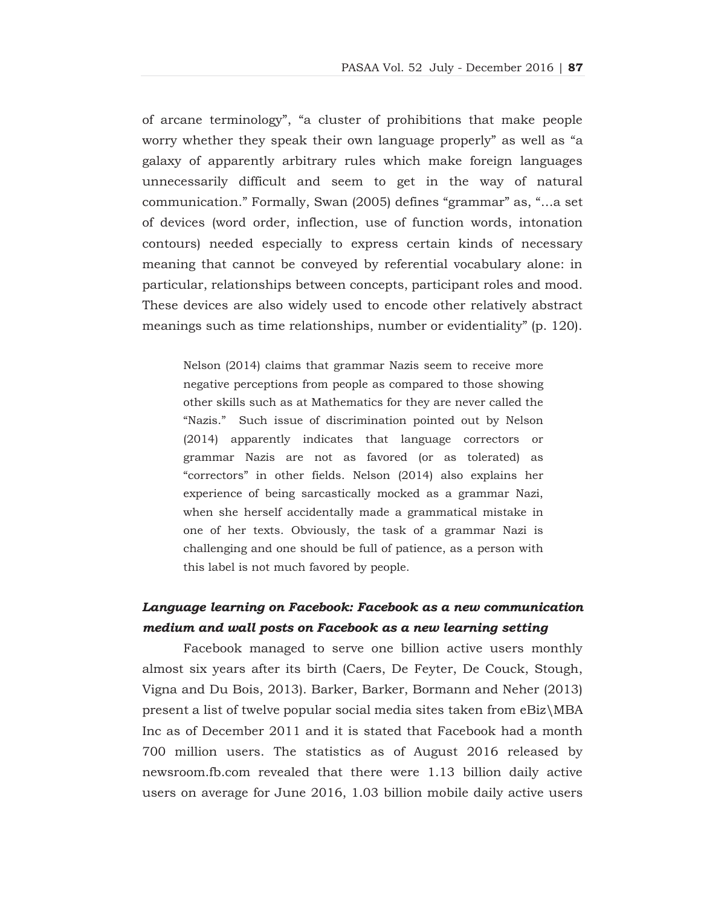of arcane terminology", "a cluster of prohibitions that make people worry whether they speak their own language properly" as well as "a galaxy of apparently arbitrary rules which make foreign languages unnecessarily difficult and seem to get in the way of natural communication." Formally, Swan (2005) defines "grammar" as, "…a set of devices (word order, inflection, use of function words, intonation contours) needed especially to express certain kinds of necessary meaning that cannot be conveyed by referential vocabulary alone: in particular, relationships between concepts, participant roles and mood. These devices are also widely used to encode other relatively abstract meanings such as time relationships, number or evidentiality" (p. 120).

Nelson (2014) claims that grammar Nazis seem to receive more negative perceptions from people as compared to those showing other skills such as at Mathematics for they are never called the "Nazis." Such issue of discrimination pointed out by Nelson (2014) apparently indicates that language correctors or grammar Nazis are not as favored (or as tolerated) as "correctors" in other fields. Nelson (2014) also explains her experience of being sarcastically mocked as a grammar Nazi, when she herself accidentally made a grammatical mistake in one of her texts. Obviously, the task of a grammar Nazi is challenging and one should be full of patience, as a person with this label is not much favored by people.

# *Language learning on Facebook: Facebook as a new communication medium and wall posts on Facebook as a new learning setting*

Facebook managed to serve one billion active users monthly almost six years after its birth (Caers, De Feyter, De Couck, Stough, Vigna and Du Bois, 2013). Barker, Barker, Bormann and Neher (2013) present a list of twelve popular social media sites taken from eBiz\MBA Inc as of December 2011 and it is stated that Facebook had a month 700 million users. The statistics as of August 2016 released by newsroom.fb.com revealed that there were 1.13 billion daily active users on average for June 2016, 1.03 billion mobile daily active users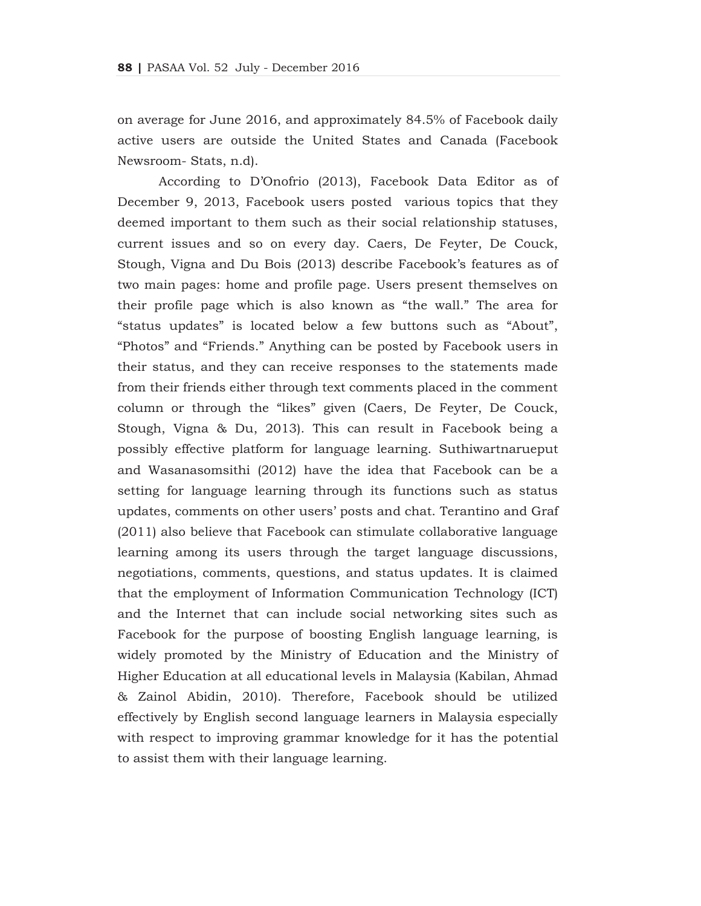on average for June 2016, and approximately 84.5% of Facebook daily active users are outside the United States and Canada (Facebook Newsroom- Stats, n.d).

According to D'Onofrio (2013), Facebook Data Editor as of December 9, 2013, Facebook users posted various topics that they deemed important to them such as their social relationship statuses, current issues and so on every day. Caers, De Feyter, De Couck, Stough, Vigna and Du Bois (2013) describe Facebook's features as of two main pages: home and profile page. Users present themselves on their profile page which is also known as "the wall." The area for "status updates" is located below a few buttons such as "About", "Photos" and "Friends." Anything can be posted by Facebook users in their status, and they can receive responses to the statements made from their friends either through text comments placed in the comment column or through the "likes" given (Caers, De Feyter, De Couck, Stough, Vigna & Du, 2013). This can result in Facebook being a possibly effective platform for language learning. Suthiwartnarueput and Wasanasomsithi (2012) have the idea that Facebook can be a setting for language learning through its functions such as status updates, comments on other users' posts and chat. Terantino and Graf (2011) also believe that Facebook can stimulate collaborative language learning among its users through the target language discussions, negotiations, comments, questions, and status updates. It is claimed that the employment of Information Communication Technology (ICT) and the Internet that can include social networking sites such as Facebook for the purpose of boosting English language learning, is widely promoted by the Ministry of Education and the Ministry of Higher Education at all educational levels in Malaysia (Kabilan, Ahmad & Zainol Abidin, 2010). Therefore, Facebook should be utilized effectively by English second language learners in Malaysia especially with respect to improving grammar knowledge for it has the potential to assist them with their language learning.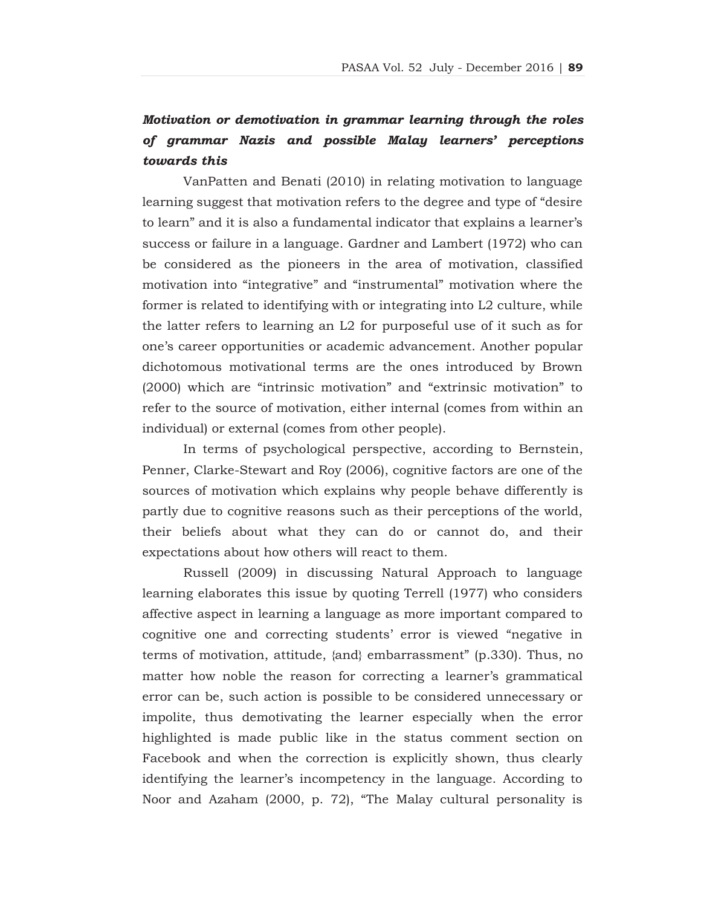# *Motivation or demotivation in grammar learning through the roles of grammar Nazis and possible Malay learners' perceptions towards this*

VanPatten and Benati (2010) in relating motivation to language learning suggest that motivation refers to the degree and type of "desire to learn" and it is also a fundamental indicator that explains a learner's success or failure in a language. Gardner and Lambert (1972) who can be considered as the pioneers in the area of motivation, classified motivation into "integrative" and "instrumental" motivation where the former is related to identifying with or integrating into L2 culture, while the latter refers to learning an L2 for purposeful use of it such as for one's career opportunities or academic advancement. Another popular dichotomous motivational terms are the ones introduced by Brown (2000) which are "intrinsic motivation" and "extrinsic motivation" to refer to the source of motivation, either internal (comes from within an individual) or external (comes from other people).

In terms of psychological perspective, according to Bernstein, Penner, Clarke-Stewart and Roy (2006), cognitive factors are one of the sources of motivation which explains why people behave differently is partly due to cognitive reasons such as their perceptions of the world, their beliefs about what they can do or cannot do, and their expectations about how others will react to them.

Russell (2009) in discussing Natural Approach to language learning elaborates this issue by quoting Terrell (1977) who considers affective aspect in learning a language as more important compared to cognitive one and correcting students' error is viewed "negative in terms of motivation, attitude, {and} embarrassment" (p.330). Thus, no matter how noble the reason for correcting a learner's grammatical error can be, such action is possible to be considered unnecessary or impolite, thus demotivating the learner especially when the error highlighted is made public like in the status comment section on Facebook and when the correction is explicitly shown, thus clearly identifying the learner's incompetency in the language. According to Noor and Azaham (2000, p. 72), "The Malay cultural personality is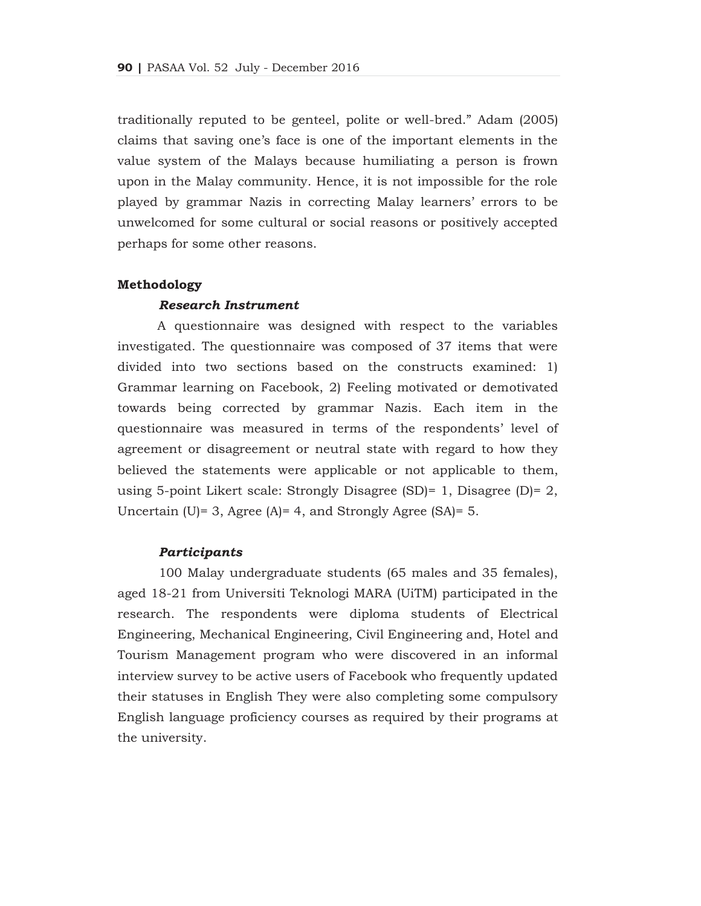traditionally reputed to be genteel, polite or well-bred." Adam (2005) claims that saving one's face is one of the important elements in the value system of the Malays because humiliating a person is frown upon in the Malay community. Hence, it is not impossible for the role played by grammar Nazis in correcting Malay learners' errors to be unwelcomed for some cultural or social reasons or positively accepted perhaps for some other reasons.

### **Methodology**

#### *Research Instrument*

 A questionnaire was designed with respect to the variables investigated. The questionnaire was composed of 37 items that were divided into two sections based on the constructs examined: 1) Grammar learning on Facebook, 2) Feeling motivated or demotivated towards being corrected by grammar Nazis. Each item in the questionnaire was measured in terms of the respondents' level of agreement or disagreement or neutral state with regard to how they believed the statements were applicable or not applicable to them, using 5-point Likert scale: Strongly Disagree (SD)= 1, Disagree (D)= 2, Uncertain (U)= 3, Agree (A)= 4, and Strongly Agree (SA)=  $5$ .

#### *Participants*

100 Malay undergraduate students (65 males and 35 females), aged 18-21 from Universiti Teknologi MARA (UiTM) participated in the research. The respondents were diploma students of Electrical Engineering, Mechanical Engineering, Civil Engineering and, Hotel and Tourism Management program who were discovered in an informal interview survey to be active users of Facebook who frequently updated their statuses in English They were also completing some compulsory English language proficiency courses as required by their programs at the university.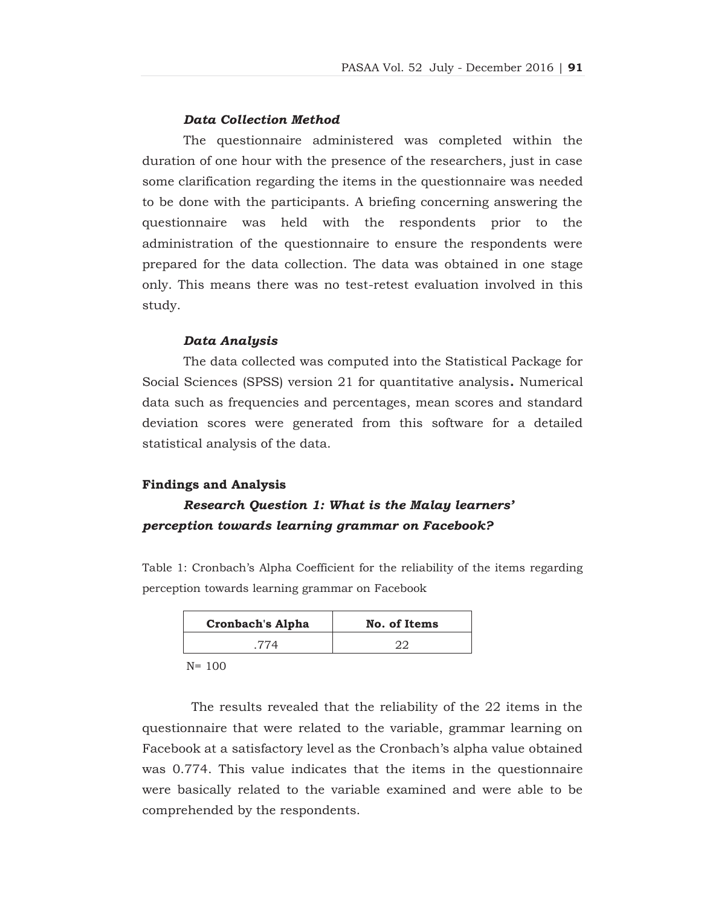#### *Data Collection Method*

The questionnaire administered was completed within the duration of one hour with the presence of the researchers, just in case some clarification regarding the items in the questionnaire was needed to be done with the participants. A briefing concerning answering the questionnaire was held with the respondents prior to the administration of the questionnaire to ensure the respondents were prepared for the data collection. The data was obtained in one stage only. This means there was no test-retest evaluation involved in this study.

#### *Data Analysis*

The data collected was computed into the Statistical Package for Social Sciences (SPSS) version 21 for quantitative analysis**.** Numerical data such as frequencies and percentages, mean scores and standard deviation scores were generated from this software for a detailed statistical analysis of the data.

#### **Findings and Analysis**

# *Research Question 1: What is the Malay learners' perception towards learning grammar on Facebook?*

Table 1: Cronbach's Alpha Coefficient for the reliability of the items regarding perception towards learning grammar on Facebook

| <b>Cronbach's Alpha</b> | No. of Items |
|-------------------------|--------------|
|                         |              |

N= 100

 The results revealed that the reliability of the 22 items in the questionnaire that were related to the variable, grammar learning on Facebook at a satisfactory level as the Cronbach's alpha value obtained was 0.774. This value indicates that the items in the questionnaire were basically related to the variable examined and were able to be comprehended by the respondents.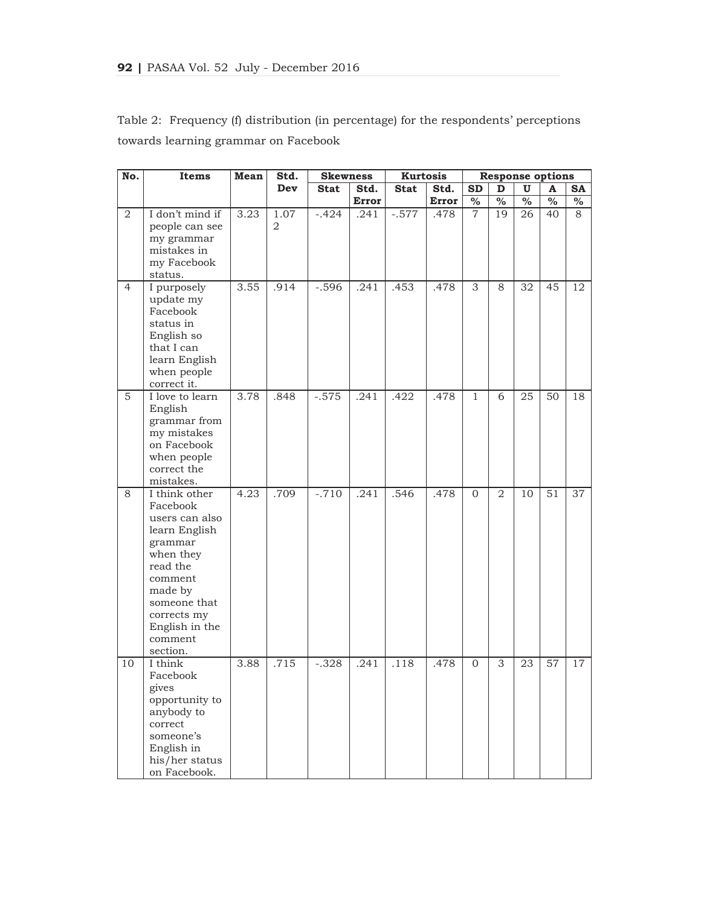| No.            | Items                    | Mean | Std.           | <b>Skewness</b> |              | <b>Kurtosis</b> |       |                |                |      | <b>Response options</b> |           |
|----------------|--------------------------|------|----------------|-----------------|--------------|-----------------|-------|----------------|----------------|------|-------------------------|-----------|
|                |                          |      | Dev            | <b>Stat</b>     | Std.         | <b>Stat</b>     | Std.  | <b>SD</b>      | D              | U    | A                       | <b>SA</b> |
|                |                          |      |                |                 | <b>Error</b> |                 | Error | $\%$           | $\%$           | $\%$ | $\frac{0}{0}$           | $\%$      |
| $\overline{2}$ | I don't mind if          | 3.23 | 1.07           | $-.424$         | .241         | $-.577$         | .478  | $\overline{7}$ | 19             | 26   | 40                      | 8         |
|                | people can see           |      | $\overline{2}$ |                 |              |                 |       |                |                |      |                         |           |
|                | my grammar               |      |                |                 |              |                 |       |                |                |      |                         |           |
|                | mistakes in              |      |                |                 |              |                 |       |                |                |      |                         |           |
|                | my Facebook              |      |                |                 |              |                 |       |                |                |      |                         |           |
|                | status.                  |      |                |                 |              |                 |       |                |                |      |                         |           |
| $\overline{4}$ | I purposely              | 3.55 | .914           | $-.596$         | .241         | .453            | .478  | 3              | 8              | 32   | 45                      | 12        |
|                | update my                |      |                |                 |              |                 |       |                |                |      |                         |           |
|                | Facebook                 |      |                |                 |              |                 |       |                |                |      |                         |           |
|                | status in                |      |                |                 |              |                 |       |                |                |      |                         |           |
|                | English so               |      |                |                 |              |                 |       |                |                |      |                         |           |
|                | that I can               |      |                |                 |              |                 |       |                |                |      |                         |           |
|                | learn English            |      |                |                 |              |                 |       |                |                |      |                         |           |
|                | when people              |      |                |                 |              |                 |       |                |                |      |                         |           |
|                | correct it.              |      |                |                 |              |                 |       |                |                |      |                         |           |
| 5              | I love to learn          | 3.78 | .848           | $-.575$         | .241         | .422            | .478  | $\mathbf{1}$   | 6              | 25   | $\overline{50}$         | 18        |
|                | English                  |      |                |                 |              |                 |       |                |                |      |                         |           |
|                | grammar from             |      |                |                 |              |                 |       |                |                |      |                         |           |
|                | my mistakes              |      |                |                 |              |                 |       |                |                |      |                         |           |
|                | on Facebook              |      |                |                 |              |                 |       |                |                |      |                         |           |
|                | when people              |      |                |                 |              |                 |       |                |                |      |                         |           |
|                | correct the<br>mistakes. |      |                |                 |              |                 |       |                |                |      |                         |           |
| 8              | I think other            | 4.23 | .709           | $-.710$         | .241         | .546            |       | $\mathbf{0}$   | $\overline{2}$ | 10   | 51                      | 37        |
|                | Facebook                 |      |                |                 |              |                 | .478  |                |                |      |                         |           |
|                | users can also           |      |                |                 |              |                 |       |                |                |      |                         |           |
|                | learn English            |      |                |                 |              |                 |       |                |                |      |                         |           |
|                | grammar                  |      |                |                 |              |                 |       |                |                |      |                         |           |
|                | when they                |      |                |                 |              |                 |       |                |                |      |                         |           |
|                | read the                 |      |                |                 |              |                 |       |                |                |      |                         |           |
|                | comment                  |      |                |                 |              |                 |       |                |                |      |                         |           |
|                | made by                  |      |                |                 |              |                 |       |                |                |      |                         |           |
|                | someone that             |      |                |                 |              |                 |       |                |                |      |                         |           |
|                | corrects my              |      |                |                 |              |                 |       |                |                |      |                         |           |
|                | English in the           |      |                |                 |              |                 |       |                |                |      |                         |           |
|                | comment                  |      |                |                 |              |                 |       |                |                |      |                         |           |
|                | section.                 |      |                |                 |              |                 |       |                |                |      |                         |           |
| 10             | I think                  | 3.88 | .715           | $-.328$         | .241         | .118            | .478  | $\mathbf{0}$   | 3              | 23   | 57                      | 17        |
|                | Facebook                 |      |                |                 |              |                 |       |                |                |      |                         |           |
|                | gives                    |      |                |                 |              |                 |       |                |                |      |                         |           |
|                | opportunity to           |      |                |                 |              |                 |       |                |                |      |                         |           |
|                | anybody to               |      |                |                 |              |                 |       |                |                |      |                         |           |
|                | correct                  |      |                |                 |              |                 |       |                |                |      |                         |           |
|                | someone's                |      |                |                 |              |                 |       |                |                |      |                         |           |
|                | English in               |      |                |                 |              |                 |       |                |                |      |                         |           |
|                | his/her status           |      |                |                 |              |                 |       |                |                |      |                         |           |
|                | on Facebook.             |      |                |                 |              |                 |       |                |                |      |                         |           |

Table 2: Frequency (f) distribution (in percentage) for the respondents' perceptions towards learning grammar on Facebook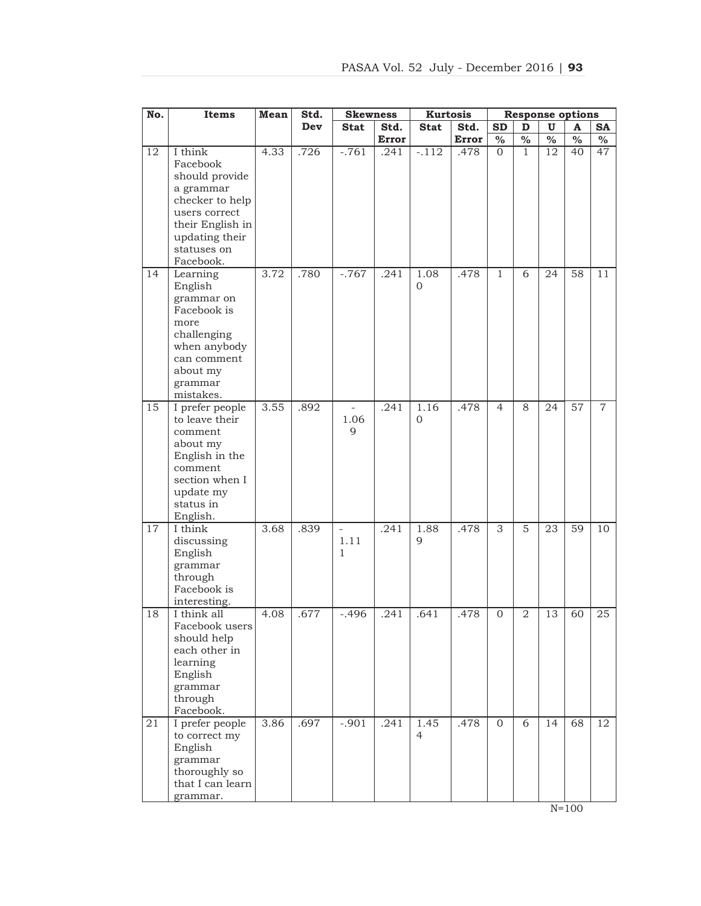| No.             | Items                        | Mean | Std. | <b>Skewness</b> |              | <b>Kurtosis</b> |              |                | <b>Response options</b>  |                          |                          |                |
|-----------------|------------------------------|------|------|-----------------|--------------|-----------------|--------------|----------------|--------------------------|--------------------------|--------------------------|----------------|
|                 |                              |      | Dev  | <b>Stat</b>     | Std.         | <b>Stat</b>     | Std.         | <b>SD</b>      | D                        | U                        | A                        | <b>SA</b>      |
|                 |                              |      |      |                 | <b>Error</b> |                 | <b>Error</b> | $\%$           | $\overline{\frac{0}{0}}$ | $\overline{\frac{0}{0}}$ | $\overline{\frac{0}{0}}$ | $\%$           |
| 12              | I think                      | 4.33 | .726 | $-.761$         | .241         | $-.112$         | .478         | $\overline{0}$ | $\mathbf{1}$             | 12                       | 40                       | 47             |
|                 | Facebook                     |      |      |                 |              |                 |              |                |                          |                          |                          |                |
|                 | should provide               |      |      |                 |              |                 |              |                |                          |                          |                          |                |
|                 | a grammar<br>checker to help |      |      |                 |              |                 |              |                |                          |                          |                          |                |
|                 | users correct                |      |      |                 |              |                 |              |                |                          |                          |                          |                |
|                 | their English in             |      |      |                 |              |                 |              |                |                          |                          |                          |                |
|                 | updating their               |      |      |                 |              |                 |              |                |                          |                          |                          |                |
|                 | statuses on                  |      |      |                 |              |                 |              |                |                          |                          |                          |                |
|                 | Facebook.                    |      |      |                 |              |                 |              |                |                          |                          |                          |                |
| 14              | Learning                     | 3.72 | .780 | $-.767$         | .241         | 1.08            | .478         | 1              | 6                        | 24                       | 58                       | 11             |
|                 | English                      |      |      |                 |              | $\overline{0}$  |              |                |                          |                          |                          |                |
|                 | grammar on                   |      |      |                 |              |                 |              |                |                          |                          |                          |                |
|                 | Facebook is                  |      |      |                 |              |                 |              |                |                          |                          |                          |                |
|                 | more                         |      |      |                 |              |                 |              |                |                          |                          |                          |                |
|                 | challenging<br>when anybody  |      |      |                 |              |                 |              |                |                          |                          |                          |                |
|                 | can comment                  |      |      |                 |              |                 |              |                |                          |                          |                          |                |
|                 | about my                     |      |      |                 |              |                 |              |                |                          |                          |                          |                |
|                 | grammar                      |      |      |                 |              |                 |              |                |                          |                          |                          |                |
|                 | mistakes.                    |      |      |                 |              |                 |              |                |                          |                          |                          |                |
| $\overline{15}$ | I prefer people              | 3.55 | .892 | $\equiv$        | .241         | 1.16            | .478         | $\overline{4}$ | 8                        | 24                       | $\overline{57}$          | $\overline{7}$ |
|                 | to leave their               |      |      | 1.06            |              | 0               |              |                |                          |                          |                          |                |
|                 | comment                      |      |      | 9               |              |                 |              |                |                          |                          |                          |                |
|                 | about my                     |      |      |                 |              |                 |              |                |                          |                          |                          |                |
|                 | English in the<br>comment    |      |      |                 |              |                 |              |                |                          |                          |                          |                |
|                 | section when I               |      |      |                 |              |                 |              |                |                          |                          |                          |                |
|                 | update my                    |      |      |                 |              |                 |              |                |                          |                          |                          |                |
|                 | status in                    |      |      |                 |              |                 |              |                |                          |                          |                          |                |
|                 | English.                     |      |      |                 |              |                 |              |                |                          |                          |                          |                |
| 17              | I think                      | 3.68 | .839 | $\frac{1}{2}$   | .241         | 1.88            | .478         | 3              | 5                        | 23                       | 59                       | 10             |
|                 | discussing                   |      |      | 1.11            |              | 9               |              |                |                          |                          |                          |                |
|                 | English                      |      |      | $\mathbf{1}$    |              |                 |              |                |                          |                          |                          |                |
|                 | grammar                      |      |      |                 |              |                 |              |                |                          |                          |                          |                |
|                 | through                      |      |      |                 |              |                 |              |                |                          |                          |                          |                |
|                 | Facebook is                  |      |      |                 |              |                 |              |                |                          |                          |                          |                |
| 18              | interesting.<br>I think all  | 4.08 | .677 | $-.496$         | .241         | .641            | .478         | $\mathbf 0$    | 2                        | 13                       | 60                       | 25             |
|                 | Facebook users               |      |      |                 |              |                 |              |                |                          |                          |                          |                |
|                 | should help                  |      |      |                 |              |                 |              |                |                          |                          |                          |                |
|                 | each other in                |      |      |                 |              |                 |              |                |                          |                          |                          |                |
|                 | learning                     |      |      |                 |              |                 |              |                |                          |                          |                          |                |
|                 | English                      |      |      |                 |              |                 |              |                |                          |                          |                          |                |
|                 | grammar                      |      |      |                 |              |                 |              |                |                          |                          |                          |                |
|                 | through                      |      |      |                 |              |                 |              |                |                          |                          |                          |                |
|                 | Facebook.                    |      |      |                 |              |                 |              |                |                          |                          |                          |                |
| 21              | I prefer people              | 3.86 | .697 | $-.901$         | .241         | 1.45            | .478         | $\Omega$       | 6                        | 14                       | 68                       | 12             |
|                 | to correct my<br>English     |      |      |                 |              | $\overline{4}$  |              |                |                          |                          |                          |                |
|                 | grammar                      |      |      |                 |              |                 |              |                |                          |                          |                          |                |
|                 | thoroughly so                |      |      |                 |              |                 |              |                |                          |                          |                          |                |
|                 | that I can learn             |      |      |                 |              |                 |              |                |                          |                          |                          |                |
|                 | grammar.                     |      |      |                 |              |                 |              |                |                          |                          |                          |                |

 $N=100$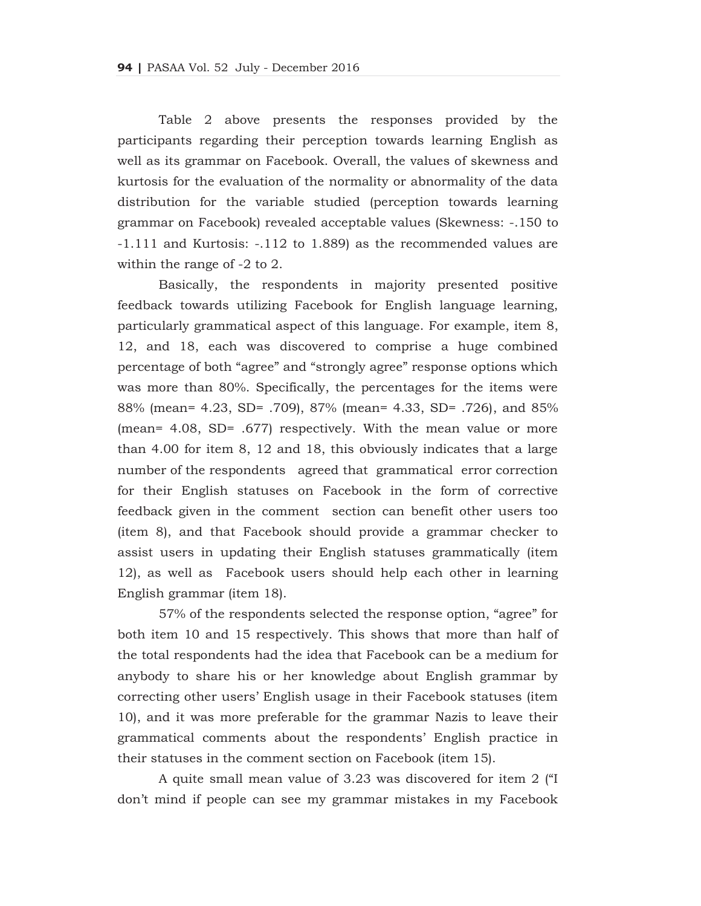Table 2 above presents the responses provided by the participants regarding their perception towards learning English as well as its grammar on Facebook. Overall, the values of skewness and kurtosis for the evaluation of the normality or abnormality of the data distribution for the variable studied (perception towards learning grammar on Facebook) revealed acceptable values (Skewness: -.150 to -1.111 and Kurtosis: -.112 to 1.889) as the recommended values are within the range of -2 to 2.

Basically, the respondents in majority presented positive feedback towards utilizing Facebook for English language learning, particularly grammatical aspect of this language. For example, item 8, 12, and 18, each was discovered to comprise a huge combined percentage of both "agree" and "strongly agree" response options which was more than 80%. Specifically, the percentages for the items were 88% (mean= 4.23, SD= .709), 87% (mean= 4.33, SD= .726), and 85% (mean= 4.08, SD= .677) respectively. With the mean value or more than 4.00 for item 8, 12 and 18, this obviously indicates that a large number of the respondents agreed that grammatical error correction for their English statuses on Facebook in the form of corrective feedback given in the comment section can benefit other users too (item 8), and that Facebook should provide a grammar checker to assist users in updating their English statuses grammatically (item 12), as well as Facebook users should help each other in learning English grammar (item 18).

57% of the respondents selected the response option, "agree" for both item 10 and 15 respectively. This shows that more than half of the total respondents had the idea that Facebook can be a medium for anybody to share his or her knowledge about English grammar by correcting other users' English usage in their Facebook statuses (item 10), and it was more preferable for the grammar Nazis to leave their grammatical comments about the respondents' English practice in their statuses in the comment section on Facebook (item 15).

A quite small mean value of 3.23 was discovered for item 2 ("I don't mind if people can see my grammar mistakes in my Facebook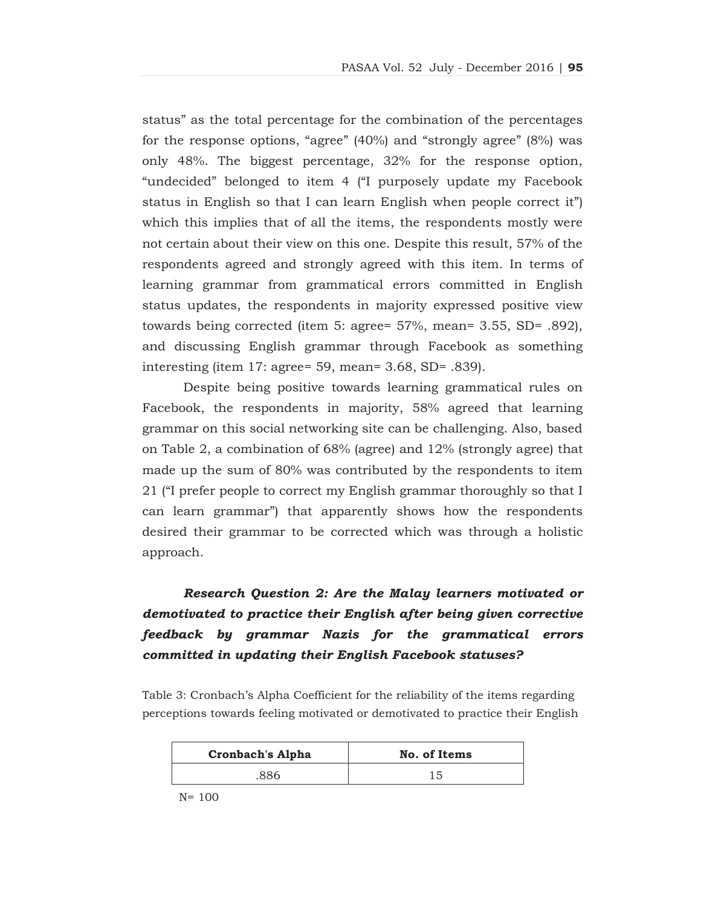status" as the total percentage for the combination of the percentages for the response options, "agree" (40%) and "strongly agree" (8%) was only 48%. The biggest percentage, 32% for the response option, "undecided" belonged to item 4 ("I purposely update my Facebook status in English so that I can learn English when people correct it") which this implies that of all the items, the respondents mostly were not certain about their view on this one. Despite this result, 57% of the respondents agreed and strongly agreed with this item. In terms of learning grammar from grammatical errors committed in English status updates, the respondents in majority expressed positive view towards being corrected (item 5: agree= 57%, mean= 3.55, SD= .892), and discussing English grammar through Facebook as something interesting (item 17: agree= 59, mean= 3.68, SD= .839).

Despite being positive towards learning grammatical rules on Facebook, the respondents in majority, 58% agreed that learning grammar on this social networking site can be challenging. Also, based on Table 2, a combination of 68% (agree) and 12% (strongly agree) that made up the sum of 80% was contributed by the respondents to item 21 ("I prefer people to correct my English grammar thoroughly so that I can learn grammar") that apparently shows how the respondents desired their grammar to be corrected which was through a holistic approach.

# *Research Question 2: Are the Malay learners motivated or demotivated to practice their English after being given corrective feedback by grammar Nazis for the grammatical errors committed in updating their English Facebook statuses?*

Table 3: Cronbach's Alpha Coefficient for the reliability of the items regarding perceptions towards feeling motivated or demotivated to practice their English

| <b>Cronbach's Alpha</b> | No. of Items |
|-------------------------|--------------|
| 886                     | 15           |

N= 100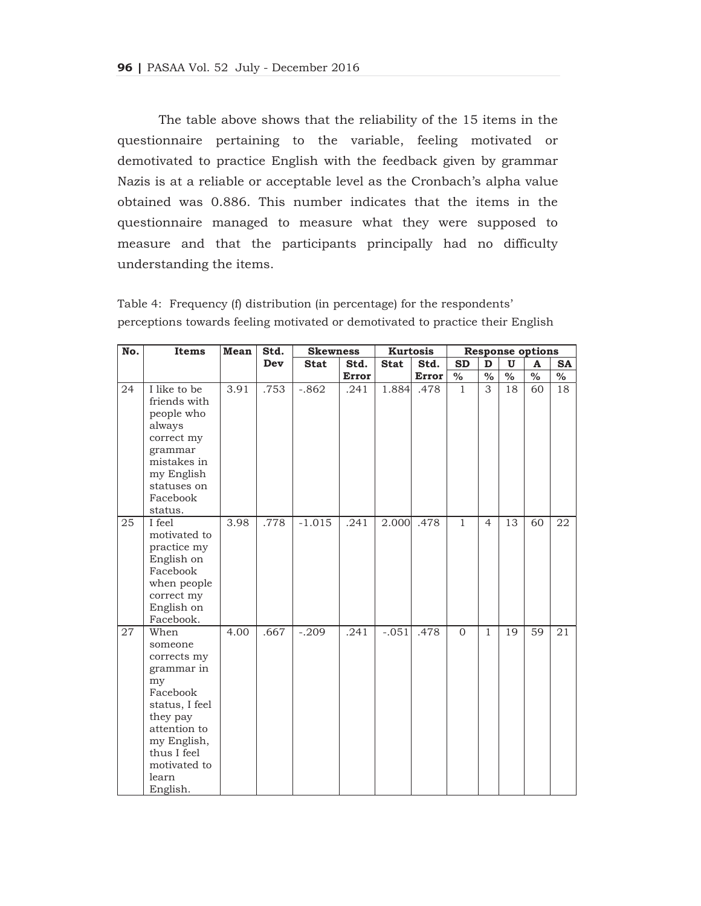The table above shows that the reliability of the 15 items in the questionnaire pertaining to the variable, feeling motivated or demotivated to practice English with the feedback given by grammar Nazis is at a reliable or acceptable level as the Cronbach's alpha value obtained was 0.886. This number indicates that the items in the questionnaire managed to measure what they were supposed to measure and that the participants principally had no difficulty understanding the items.

| Table 4: Frequency (f) distribution (in percentage) for the respondents'       |  |  |  |  |
|--------------------------------------------------------------------------------|--|--|--|--|
| perceptions towards feeling motivated or demotivated to practice their English |  |  |  |  |

| No. | Items                                                                                                                                                                           | Mean | Std. | <b>Skewness</b> |              |             | <b>Kurtosis</b> | <b>Response options</b> |                          |                          |                          |           |  |
|-----|---------------------------------------------------------------------------------------------------------------------------------------------------------------------------------|------|------|-----------------|--------------|-------------|-----------------|-------------------------|--------------------------|--------------------------|--------------------------|-----------|--|
|     |                                                                                                                                                                                 |      | Dev  | <b>Stat</b>     | Std.         | <b>Stat</b> | Std.            | <b>SD</b>               | D                        | $\mathbf{U}$             | A                        | <b>SA</b> |  |
|     |                                                                                                                                                                                 |      |      |                 | <b>Error</b> |             | Error           | $\frac{1}{2}$           | $\overline{\frac{0}{6}}$ | $\overline{\frac{0}{0}}$ | $\overline{\frac{0}{0}}$ | $\%$      |  |
| 24  | I like to be<br>friends with<br>people who<br>always<br>correct my<br>grammar<br>mistakes in<br>my English<br>statuses on<br>Facebook<br>status.                                | 3.91 | .753 | $-.862$         | .241         | 1.884       | .478            | $\mathbf{1}$            | 3                        | 18                       | 60                       | 18        |  |
| 25  | I feel<br>motivated to<br>practice my<br>English on<br>Facebook<br>when people<br>correct my<br>English on<br>Facebook.                                                         | 3.98 | .778 | $-1.015$        | .241         | 2.000       | .478            | $\mathbf{1}$            | 4                        | 13                       | 60                       | 22        |  |
| 27  | When<br>someone<br>corrects my<br>grammar in<br>my<br>Facebook<br>status, I feel<br>they pay<br>attention to<br>my English,<br>thus I feel<br>motivated to<br>learn<br>English. | 4.00 | .667 | $-.209$         | .241         | $-.051$     | .478            | $\overline{0}$          | $\mathbf{1}$             | 19                       | 59                       | 21        |  |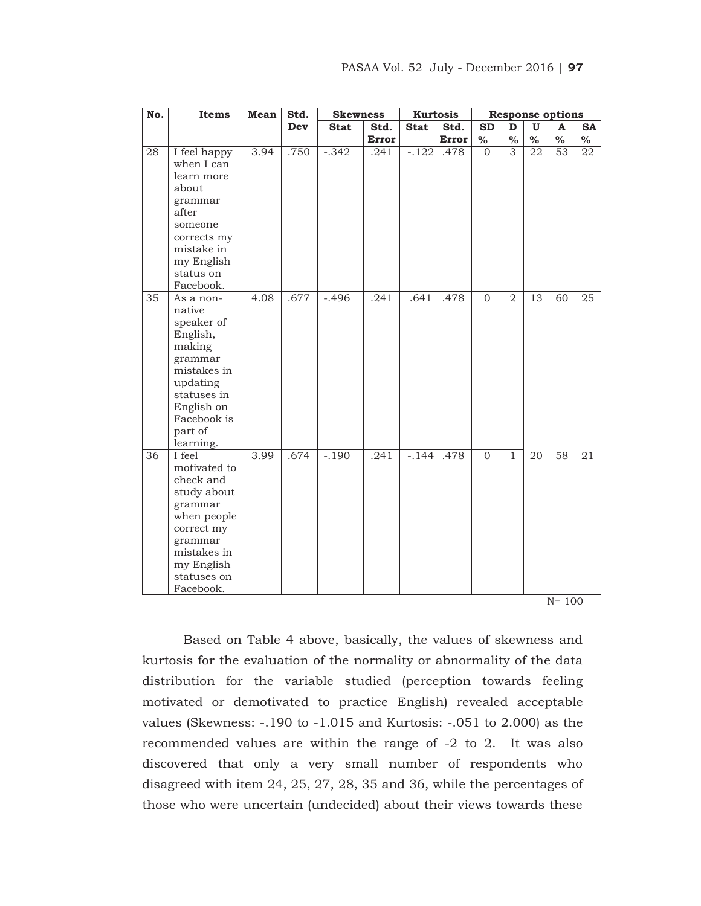| No.             | Items                                                                                                                                                             | Mean | Std. | <b>Skewness</b> |              |             | <b>Kurtosis</b> | <b>Response options</b>  |                |                 |                          |                          |  |
|-----------------|-------------------------------------------------------------------------------------------------------------------------------------------------------------------|------|------|-----------------|--------------|-------------|-----------------|--------------------------|----------------|-----------------|--------------------------|--------------------------|--|
|                 |                                                                                                                                                                   |      | Dev  | <b>Stat</b>     | Std.         | <b>Stat</b> | Std.            | <b>SD</b>                | D              | $\mathbf{U}$    | $\mathbf{A}$             | <b>SA</b>                |  |
|                 |                                                                                                                                                                   |      |      |                 | <b>Error</b> |             | <b>Error</b>    | $\overline{\frac{0}{0}}$ | $\frac{0}{6}$  | $\frac{0}{6}$   | $\overline{\frac{0}{0}}$ | $\overline{\frac{0}{0}}$ |  |
| 28              | I feel happy<br>when I can<br>learn more<br>about<br>grammar<br>after<br>someone<br>corrects my<br>mistake in<br>my English<br>status on<br>Facebook.             | 3.94 | .750 | $-0.342$        | .241         | $-122$      | .478            | $\Omega$                 | 3              | 22              | 53                       | 22                       |  |
| $\overline{35}$ | As a non-<br>native<br>speaker of<br>English,<br>making<br>grammar<br>mistakes in<br>updating<br>statuses in<br>English on<br>Facebook is<br>part of<br>learning. | 4.08 | .677 | $-0.496$        | .241         | .641        | .478            | $\overline{0}$           | $\overline{2}$ | $\overline{13}$ | $\overline{60}$          | $\overline{25}$          |  |
| 36              | I feel<br>motivated to<br>check and<br>study about<br>grammar<br>when people<br>correct my<br>grammar<br>mistakes in<br>my English<br>statuses on<br>Facebook.    | 3.99 | .674 | $-.190$         | .241         | $-.144$     | .478            | $\Omega$                 | $\mathbf{1}$   | 20              | 58<br>$N = 100$          | 21                       |  |

Based on Table 4 above, basically, the values of skewness and kurtosis for the evaluation of the normality or abnormality of the data distribution for the variable studied (perception towards feeling motivated or demotivated to practice English) revealed acceptable values (Skewness: -.190 to -1.015 and Kurtosis: -.051 to 2.000) as the recommended values are within the range of -2 to 2. It was also discovered that only a very small number of respondents who disagreed with item 24, 25, 27, 28, 35 and 36, while the percentages of those who were uncertain (undecided) about their views towards these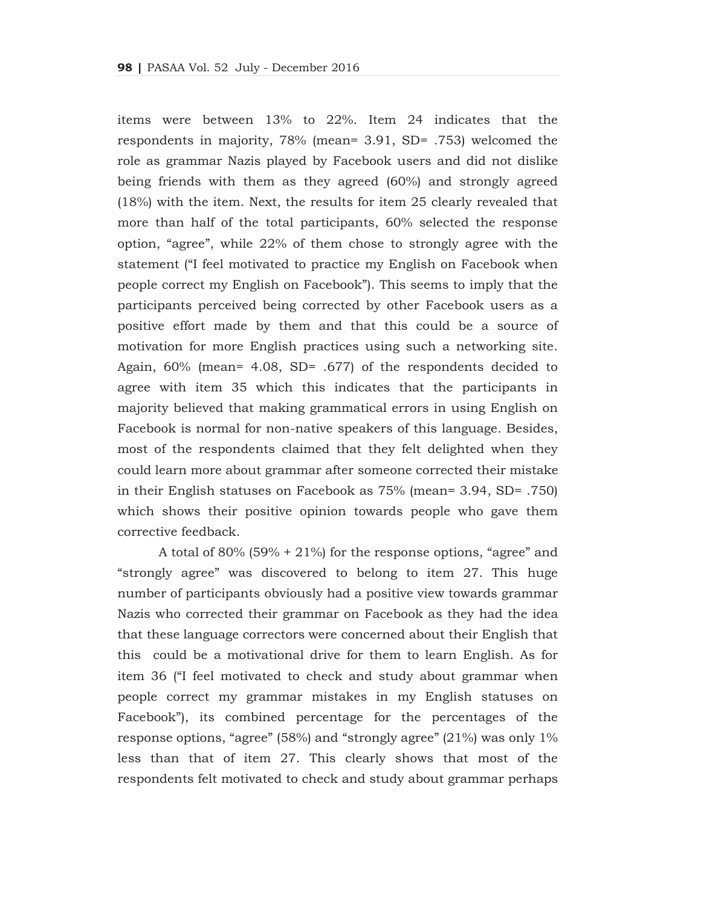items were between 13% to 22%. Item 24 indicates that the respondents in majority, 78% (mean= 3.91, SD= .753) welcomed the role as grammar Nazis played by Facebook users and did not dislike being friends with them as they agreed (60%) and strongly agreed (18%) with the item. Next, the results for item 25 clearly revealed that more than half of the total participants, 60% selected the response option, "agree", while 22% of them chose to strongly agree with the statement ("I feel motivated to practice my English on Facebook when people correct my English on Facebook"). This seems to imply that the participants perceived being corrected by other Facebook users as a positive effort made by them and that this could be a source of motivation for more English practices using such a networking site. Again, 60% (mean= 4.08, SD= .677) of the respondents decided to agree with item 35 which this indicates that the participants in majority believed that making grammatical errors in using English on Facebook is normal for non-native speakers of this language. Besides, most of the respondents claimed that they felt delighted when they could learn more about grammar after someone corrected their mistake in their English statuses on Facebook as 75% (mean= 3.94, SD= .750) which shows their positive opinion towards people who gave them corrective feedback.

A total of 80% (59% + 21%) for the response options, "agree" and "strongly agree" was discovered to belong to item 27. This huge number of participants obviously had a positive view towards grammar Nazis who corrected their grammar on Facebook as they had the idea that these language correctors were concerned about their English that this could be a motivational drive for them to learn English. As for item 36 ("I feel motivated to check and study about grammar when people correct my grammar mistakes in my English statuses on Facebook"), its combined percentage for the percentages of the response options, "agree" (58%) and "strongly agree" (21%) was only 1% less than that of item 27. This clearly shows that most of the respondents felt motivated to check and study about grammar perhaps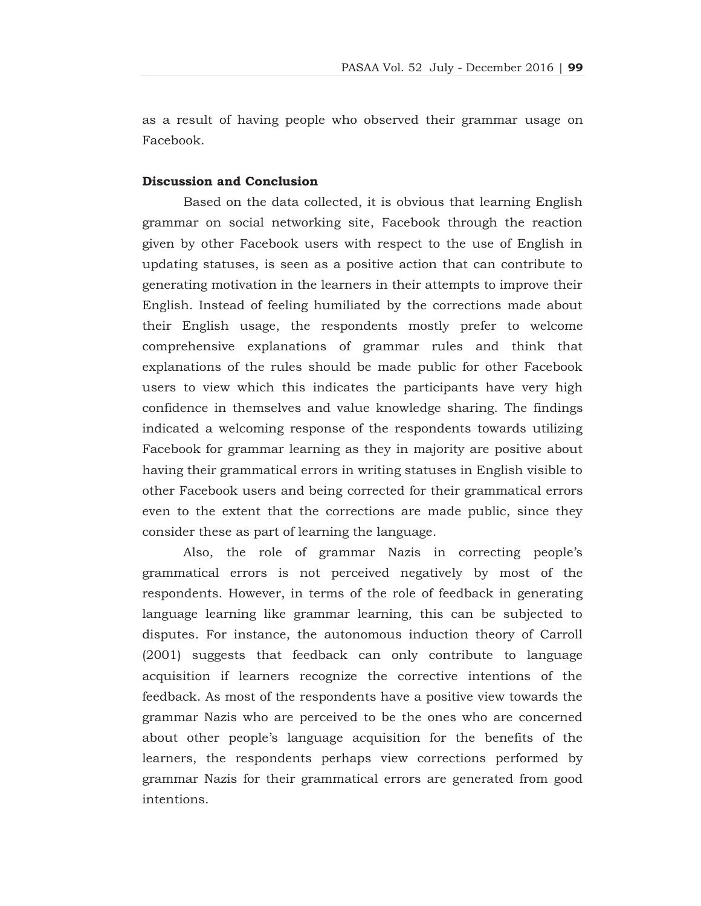as a result of having people who observed their grammar usage on Facebook.

# **Discussion and Conclusion**

Based on the data collected, it is obvious that learning English grammar on social networking site, Facebook through the reaction given by other Facebook users with respect to the use of English in updating statuses, is seen as a positive action that can contribute to generating motivation in the learners in their attempts to improve their English. Instead of feeling humiliated by the corrections made about their English usage, the respondents mostly prefer to welcome comprehensive explanations of grammar rules and think that explanations of the rules should be made public for other Facebook users to view which this indicates the participants have very high confidence in themselves and value knowledge sharing. The findings indicated a welcoming response of the respondents towards utilizing Facebook for grammar learning as they in majority are positive about having their grammatical errors in writing statuses in English visible to other Facebook users and being corrected for their grammatical errors even to the extent that the corrections are made public, since they consider these as part of learning the language.

Also, the role of grammar Nazis in correcting people's grammatical errors is not perceived negatively by most of the respondents. However, in terms of the role of feedback in generating language learning like grammar learning, this can be subjected to disputes. For instance, the autonomous induction theory of Carroll (2001) suggests that feedback can only contribute to language acquisition if learners recognize the corrective intentions of the feedback. As most of the respondents have a positive view towards the grammar Nazis who are perceived to be the ones who are concerned about other people's language acquisition for the benefits of the learners, the respondents perhaps view corrections performed by grammar Nazis for their grammatical errors are generated from good intentions.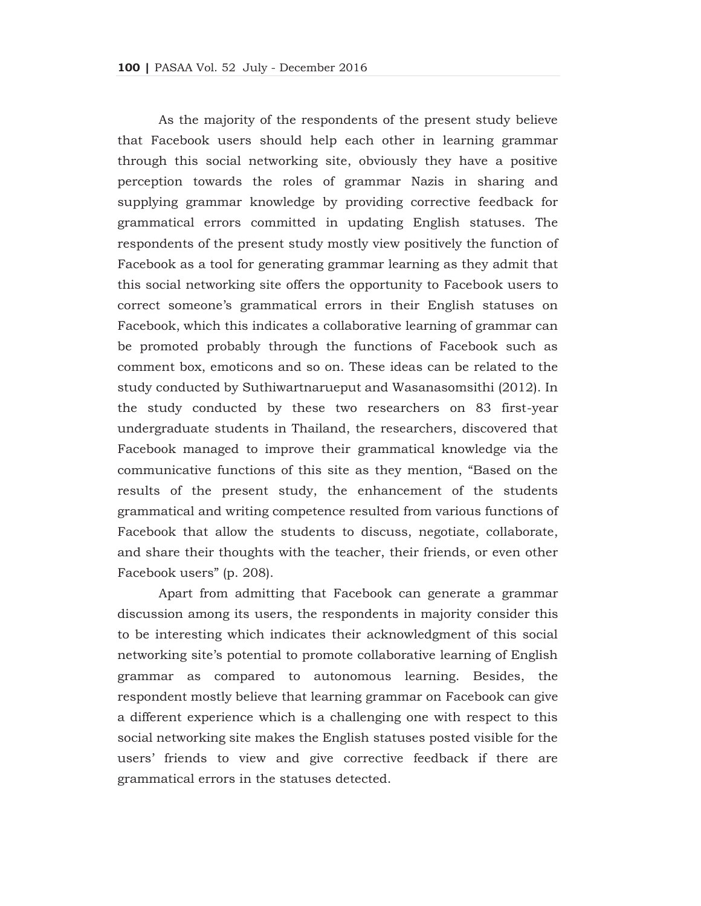As the majority of the respondents of the present study believe that Facebook users should help each other in learning grammar through this social networking site, obviously they have a positive perception towards the roles of grammar Nazis in sharing and supplying grammar knowledge by providing corrective feedback for grammatical errors committed in updating English statuses. The respondents of the present study mostly view positively the function of Facebook as a tool for generating grammar learning as they admit that this social networking site offers the opportunity to Facebook users to correct someone's grammatical errors in their English statuses on Facebook, which this indicates a collaborative learning of grammar can be promoted probably through the functions of Facebook such as comment box, emoticons and so on. These ideas can be related to the study conducted by Suthiwartnarueput and Wasanasomsithi (2012). In the study conducted by these two researchers on 83 first-year undergraduate students in Thailand, the researchers, discovered that Facebook managed to improve their grammatical knowledge via the communicative functions of this site as they mention, "Based on the results of the present study, the enhancement of the students grammatical and writing competence resulted from various functions of Facebook that allow the students to discuss, negotiate, collaborate, and share their thoughts with the teacher, their friends, or even other Facebook users" (p. 208).

Apart from admitting that Facebook can generate a grammar discussion among its users, the respondents in majority consider this to be interesting which indicates their acknowledgment of this social networking site's potential to promote collaborative learning of English grammar as compared to autonomous learning. Besides, the respondent mostly believe that learning grammar on Facebook can give a different experience which is a challenging one with respect to this social networking site makes the English statuses posted visible for the users' friends to view and give corrective feedback if there are grammatical errors in the statuses detected.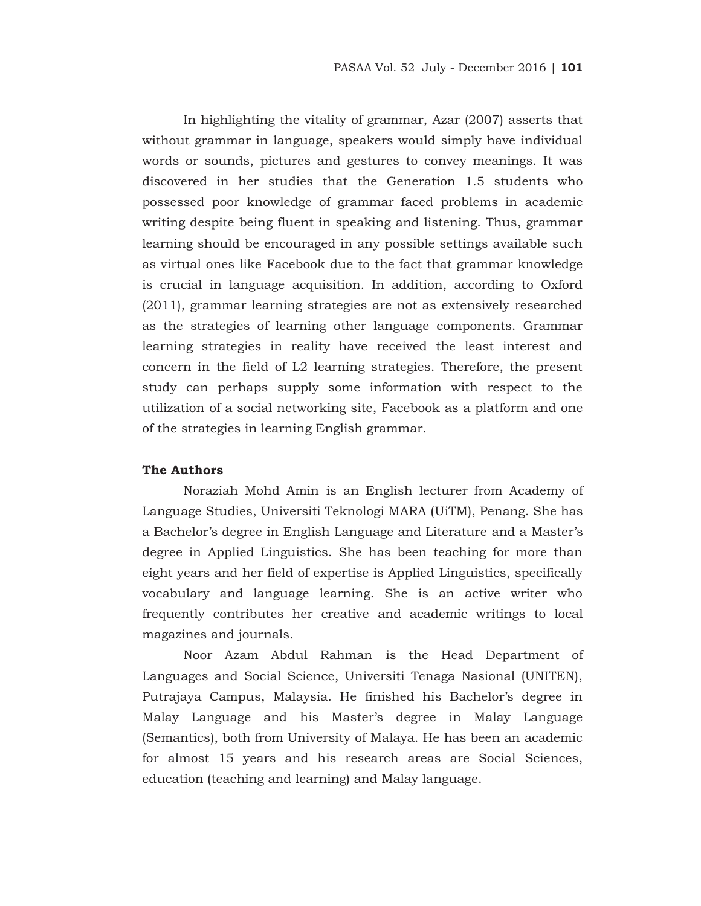In highlighting the vitality of grammar, Azar (2007) asserts that without grammar in language, speakers would simply have individual words or sounds, pictures and gestures to convey meanings. It was discovered in her studies that the Generation 1.5 students who possessed poor knowledge of grammar faced problems in academic writing despite being fluent in speaking and listening. Thus, grammar learning should be encouraged in any possible settings available such as virtual ones like Facebook due to the fact that grammar knowledge is crucial in language acquisition. In addition, according to Oxford (2011), grammar learning strategies are not as extensively researched as the strategies of learning other language components. Grammar learning strategies in reality have received the least interest and concern in the field of L2 learning strategies. Therefore, the present study can perhaps supply some information with respect to the utilization of a social networking site, Facebook as a platform and one of the strategies in learning English grammar.

### **The Authors**

Noraziah Mohd Amin is an English lecturer from Academy of Language Studies, Universiti Teknologi MARA (UiTM), Penang. She has a Bachelor's degree in English Language and Literature and a Master's degree in Applied Linguistics. She has been teaching for more than eight years and her field of expertise is Applied Linguistics, specifically vocabulary and language learning. She is an active writer who frequently contributes her creative and academic writings to local magazines and journals.

Noor Azam Abdul Rahman is the Head Department of Languages and Social Science, Universiti Tenaga Nasional (UNITEN), Putrajaya Campus, Malaysia. He finished his Bachelor's degree in Malay Language and his Master's degree in Malay Language (Semantics), both from University of Malaya. He has been an academic for almost 15 years and his research areas are Social Sciences, education (teaching and learning) and Malay language.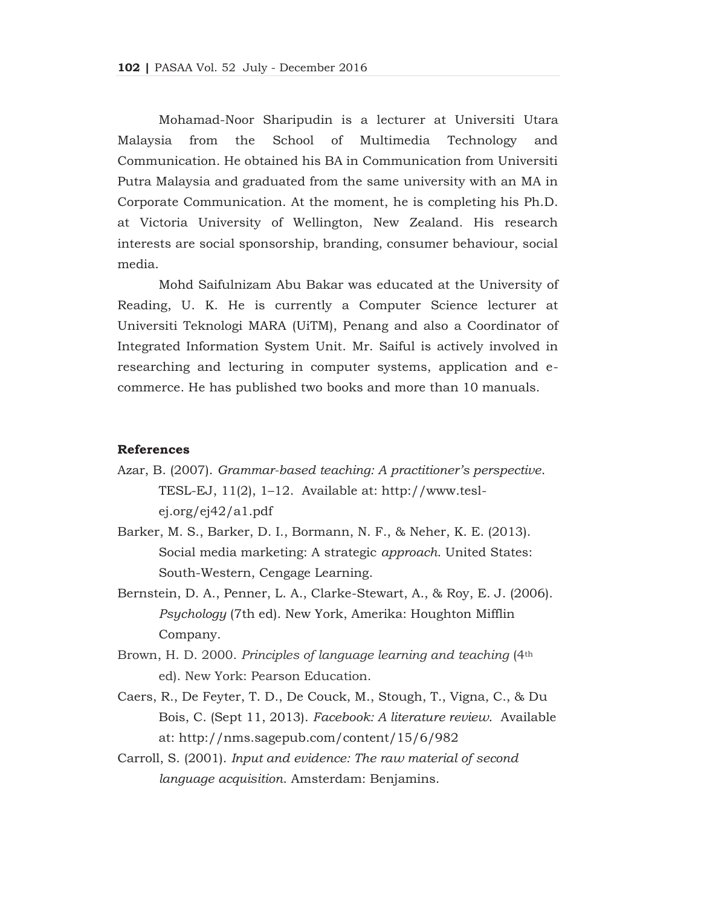Mohamad-Noor Sharipudin is a lecturer at Universiti Utara Malaysia from the School of Multimedia Technology and Communication. He obtained his BA in Communication from Universiti Putra Malaysia and graduated from the same university with an MA in Corporate Communication. At the moment, he is completing his Ph.D. at Victoria University of Wellington, New Zealand. His research interests are social sponsorship, branding, consumer behaviour, social media.

Mohd Saifulnizam Abu Bakar was educated at the University of Reading, U. K. He is currently a Computer Science lecturer at Universiti Teknologi MARA (UiTM), Penang and also a Coordinator of Integrated Information System Unit. Mr. Saiful is actively involved in researching and lecturing in computer systems, application and ecommerce. He has published two books and more than 10 manuals.

#### **References**

- Azar, B. (2007). *Grammar-based teaching: A practitioner's perspective*. TESL-EJ, 11(2), 1–12. Available at: http://www.teslej.org/ej42/a1.pdf
- Barker, M. S., Barker, D. I., Bormann, N. F., & Neher, K. E. (2013). Social media marketing: A strategic *approach*. United States: South-Western, Cengage Learning.
- Bernstein, D. A., Penner, L. A., Clarke-Stewart, A., & Roy, E. J. (2006). *Psychology* (7th ed). New York, Amerika: Houghton Mifflin Company.
- Brown, H. D. 2000. *Principles of language learning and teaching* (4th ed). New York: Pearson Education.
- Caers, R., De Feyter, T. D., De Couck, M., Stough, T., Vigna, C., & Du Bois, C. (Sept 11, 2013). *Facebook: A literature review*. Available at: http://nms.sagepub.com/content/15/6/982
- Carroll, S. (2001). *Input and evidence: The raw material of second language acquisition*. Amsterdam: Benjamins.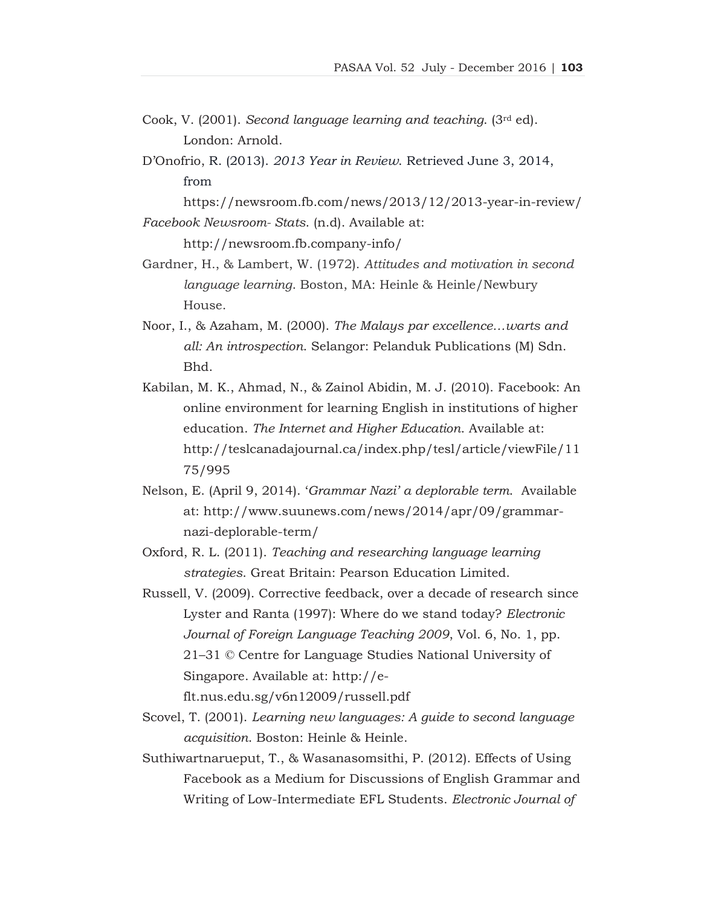- Cook, V. (2001). *Second language learning and teaching*. (3rd ed). London: Arnold.
- D'Onofrio, R. (2013). *2013 Year in Review*. Retrieved June 3, 2014, from

 https://newsroom.fb.com/news/2013/12/2013-year-in-review/ *Facebook Newsroom- Stats*. (n.d). Available at:

http://newsroom.fb.company-info/

- Gardner, H., & Lambert, W. (1972). *Attitudes and motivation in second language learning*. Boston, MA: Heinle & Heinle/Newbury House.
- Noor, I., & Azaham, M. (2000). *The Malays par excellence…warts and all: An introspection*. Selangor: Pelanduk Publications (M) Sdn. Bhd.
- Kabilan, M. K., Ahmad, N., & Zainol Abidin, M. J. (2010). Facebook: An online environment for learning English in institutions of higher education. *The Internet and Higher Education*. Available at: http://teslcanadajournal.ca/index.php/tesl/article/viewFile/11 75/995
- Nelson, E. (April 9, 2014). '*Grammar Nazi' a deplorable term*. Available at: http://www.suunews.com/news/2014/apr/09/grammarnazi-deplorable-term/
- Oxford, R. L. (2011). *Teaching and researching language learning strategies*. Great Britain: Pearson Education Limited.
- Russell, V. (2009). Corrective feedback, over a decade of research since Lyster and Ranta (1997): Where do we stand today? *Electronic Journal of Foreign Language Teaching 2009*, Vol. 6, No. 1, pp. 21–31 © Centre for Language Studies National University of Singapore. Available at: http://e-

flt.nus.edu.sg/v6n12009/russell.pdf

- Scovel, T. (2001). *Learning new languages: A guide to second language acquisition*. Boston: Heinle & Heinle.
- Suthiwartnarueput, T., & Wasanasomsithi, P. (2012). Effects of Using Facebook as a Medium for Discussions of English Grammar and Writing of Low-Intermediate EFL Students. *Electronic Journal of*